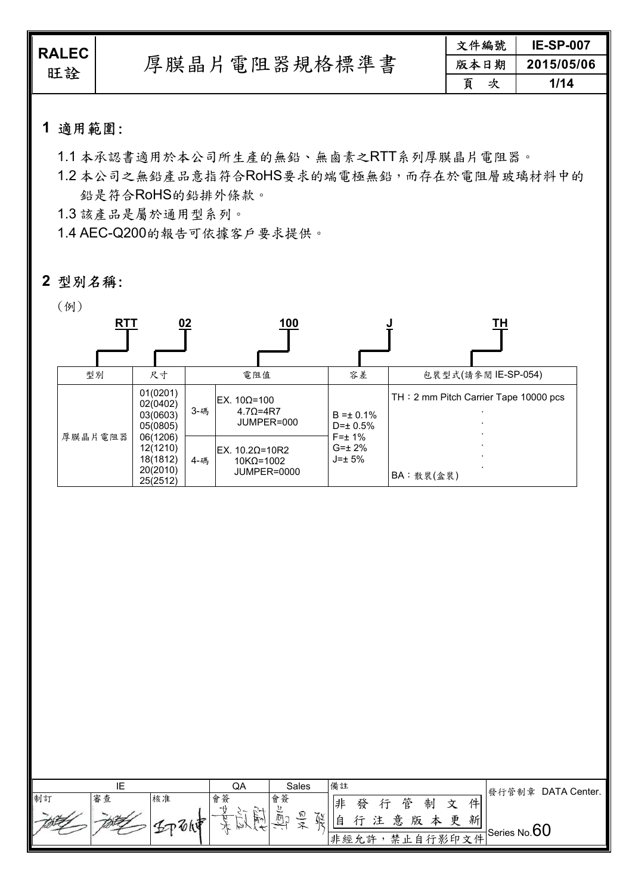| <b>RALEC</b><br>旺詮 | 厚膜晶片電阻器規格標準書 | 文件編號   | <b>IE-SP-007</b> |
|--------------------|--------------|--------|------------------|
|                    |              | 版本日期   | 2015/05/06       |
|                    |              | 頁<br>次 | 1/14             |

### **1** 適用範圍:

1.1 本承認書適用於本公司所生產的無鉛、無鹵素之RTT系列厚膜晶片電阻器。

1.2 本公司之無鉛產品意指符合RoHS要求的端電極無鉛,而存在於電阻層玻璃材料中的 鉛是符合RoHS的鉛排外條款。

1.3 該產品是屬於通用型系列。

1.4 AEC-Q200的報告可依據客戶要求提供。

### **2** 型別名稱:

#### (例)



|    |    |    | QA                              | Sales                                      | 備註  |    |        |        |   |   | 發行管制章 DATA Center.    |
|----|----|----|---------------------------------|--------------------------------------------|-----|----|--------|--------|---|---|-----------------------|
| 制訂 | 審查 | 核准 | 忩<br>合                          | 會簽                                         | 俳   | 發  | 管<br>仁 | 制      | 寸 | 件 |                       |
|    |    |    | $+1$<br>$\sim +$<br>ے د<br>EE-N | ∽<br>仞<br>$\mathcal{F}$<br>厕<br>$5\approx$ |     |    | 意      | 版<br>太 | 重 | 新 |                       |
|    |    |    | $+$<br>↘                        |                                            | E   |    |        |        |   |   | ◎ 吐自行影印文件Series No.60 |
|    |    |    |                                 |                                            | 非經允 | 。許 |        |        |   |   |                       |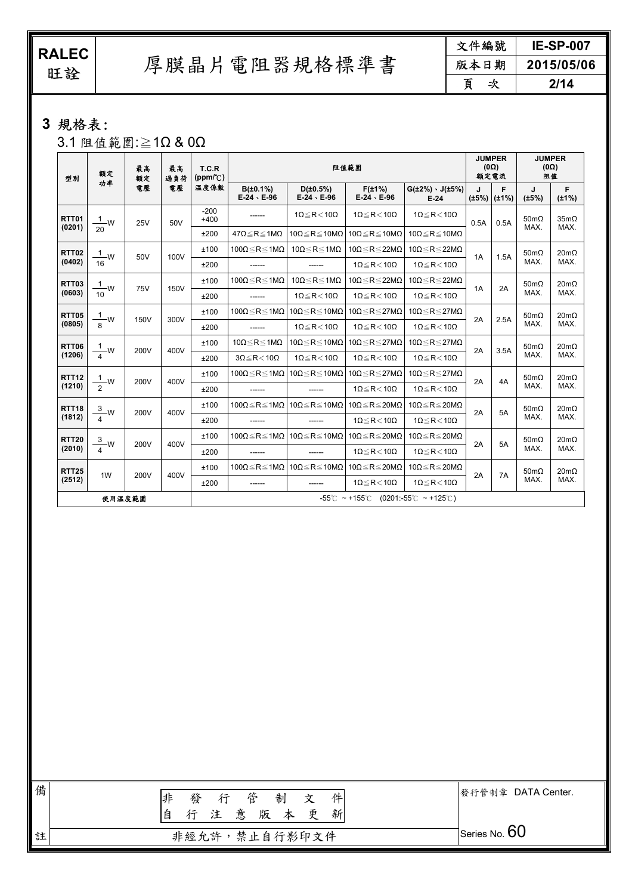RALEC<br>旺詮

厚膜晶片電阻器規格標準書

| 文件編號   | <b>IE-SP-007</b> |  |  |
|--------|------------------|--|--|
| 版本日期   | 2015/05/06       |  |  |
| 頁<br>次 | 2/14             |  |  |

# **3** 規格表:

3.1 阻值範圍:≧1Ω & 0Ω

| 型別           | 最高<br>額定<br>额定<br>功率           |            |      | T.C.R<br>最高<br>$(ppm/ {}^{\circ}\mathcal{C})$<br>過負荷                            | 阻值範圍                                |                                                          |                                                    |                                         | <b>JUMPER</b><br>$(0\Omega)$<br>額定電流 |      | <b>JUMPER</b><br>$(0\Omega)$<br>阻值 |                             |                     |
|--------------|--------------------------------|------------|------|---------------------------------------------------------------------------------|-------------------------------------|----------------------------------------------------------|----------------------------------------------------|-----------------------------------------|--------------------------------------|------|------------------------------------|-----------------------------|---------------------|
|              |                                | 電壓         | 電壓   | 溫度係數                                                                            | B(±0.1%)<br>$E-24 \cdot E-96$       | $D(\pm 0.5\%)$<br>$E-24 \cdot E-96$                      | $F(\pm 1\%)$<br>$E-24 \cdot E-96$                  | $G(\pm 2\%) \cdot J(\pm 5\%)$<br>$E-24$ | J<br>$(\pm 5\%)$ ( $\pm 1\%)$        | F    | J<br>(±5%)                         | F<br>$(\pm 1\%)$            |                     |
| RTT01        | $\frac{1}{2}w$                 | 25V        | 50V  | $-200$<br>$+400$                                                                |                                     | $1\Omega \leq R < 10\Omega$                              | $1\Omega \leq R < 10\Omega$                        | $1\Omega \le R < 10\Omega$              | 0.5A                                 | 0.5A | $50 \text{m}\Omega$                | 35m <sub>Ω</sub>            |                     |
| (0201)       | 20                             |            |      | ±200                                                                            | $47\Omega \le R \le 1M\Omega$       | $10\Omega \le R \le 10M\Omega$                           | $10\Omega \le R \le 10M\Omega$                     | $10\Omega \le R \le 10M\Omega$          |                                      |      | MAX.                               | MAX.                        |                     |
| <b>RTT02</b> | $\frac{1}{2}$ W                | 50V        | 100V | ±100                                                                            | $100\Omega \le R \le 1M\Omega$      | $10\Omega \le R \le 1M\Omega$                            | $10\Omega \le R \le 22M\Omega$                     | $10\Omega \le R \le 22M\Omega$          | 1A                                   |      | $50 \text{m}\Omega$                | $20m\Omega$                 |                     |
| (0402)       | 16                             |            |      | ±200                                                                            |                                     |                                                          | $1\Omega \le R < 10\Omega$                         | $1\Omega \le R < 10\Omega$              |                                      | 1.5A | MAX.                               | MAX.                        |                     |
| <b>RTT03</b> | $\mathbf{1}$<br>-W             | <b>75V</b> | 150V | ±100                                                                            | 100 $\Omega \le R \le 1$ M $\Omega$ | 10 $\Omega \le R \le 1$ M $\Omega$                       | $10\Omega \le R \le 22M\Omega$                     | 10 $\Omega \le R \le 22M\Omega$         | 1A                                   | 2A   | $50 \text{m}\Omega$                | $20m\Omega$                 |                     |
| (0603)       | 10                             |            |      | ±200                                                                            | ------                              | $1\Omega \le R < 10\Omega$                               | $1\Omega \le R < 10\Omega$                         | $1\Omega \le R < 10\Omega$              |                                      |      | MAX.                               | MAX.                        |                     |
| <b>RTT05</b> | $\frac{1}{8}$ W<br><b>150V</b> |            | 300V | ±100                                                                            | $100\Omega \le R \le 1M\Omega$      | $10\Omega \le R \le 10M\Omega$ 10Ω $\le R \le 27M\Omega$ |                                                    | 10 $\Omega \le R \le 27M\Omega$         | 2A                                   | 2.5A | $50 \text{m}\Omega$<br>MAX.        | $20 \text{m}\Omega$<br>MAX. |                     |
| (0805)       |                                |            |      | ±200                                                                            | ------                              | $1\Omega \leq R < 10\Omega$                              | $1\Omega \leq R < 10\Omega$                        | $1\Omega \leq R < 10\Omega$             |                                      |      |                                    |                             |                     |
| <b>RTT06</b> | $\frac{1}{2}w$<br>200V         |            |      | 400V                                                                            | ±100                                | $10\Omega \le R \le 1M\Omega$                            | $10\Omega \leq R \leq 10M\Omega$                   | $10\Omega \leq R \leq 27M\Omega$        | $10\Omega \leq R \leq 27M\Omega$     | 2A   | 3.5A                               | $50 \text{m}\Omega$         | $20 \text{m}\Omega$ |
| (1206)       |                                |            |      | ±200                                                                            | $3\Omega \le R < 10\Omega$          | $1\Omega \leq R < 10\Omega$                              | $1\Omega \leq R < 10\Omega$                        | $1\Omega \le R < 10\Omega$              |                                      |      | MAX.                               | MAX.                        |                     |
| <b>RTT12</b> | $\mathbf{1}$<br>-W<br>200V     |            |      | 400V                                                                            | ±100                                | $100\Omega \le R \le 1M\Omega$                           | $10\Omega \le R \le 10$ ΜΩ   10Ω $\le R \le 27$ ΜΩ |                                         | 10 $\Omega \le R \le 27M\Omega$      | 2A   | 4A                                 | $50 \text{m}\Omega$         | $20m\Omega$         |
| (1210)       |                                |            |      | ±200                                                                            | ------                              | ------                                                   | $1\Omega \leq R < 10\Omega$                        | $1\Omega \leq R < 10\Omega$             |                                      |      | MAX.                               | MAX.                        |                     |
| <b>RTT18</b> | $\frac{3}{4}$ W                | 200V       | 400V | ±100                                                                            | $100\Omega \le R \le 1M\Omega$      | 10 $\Omega \le R \le 10 M \Omega$                        | $10\Omega \le R \le 20M\Omega$                     | $10\Omega \le R \le 20M\Omega$          | 2A                                   | 5A   | $50m\Omega$                        | $20m\Omega$                 |                     |
| (1812)       |                                |            |      | ±200                                                                            |                                     |                                                          | $1\Omega \le R < 10\Omega$                         | $1\Omega \le R < 10\Omega$              |                                      |      | MAX.                               | MAX.                        |                     |
| <b>RTT20</b> | $\frac{3}{2}w$                 | 200V       | 400V | ±100                                                                            | $100\Omega \le R \le 1M\Omega$      | $10\Omega \le R \le 10M\Omega$ 10Ω $\le R \le 20M\Omega$ |                                                    | 10 $\Omega \le R \le 20M\Omega$         | 2A                                   | 5A   | $50m\Omega$                        | $20m\Omega$                 |                     |
| (2010)       |                                |            |      | ±200                                                                            | ------                              |                                                          | $1\Omega \leq R < 10\Omega$                        | $1\Omega \leq R < 10\Omega$             |                                      |      | MAX.                               | MAX.                        |                     |
| <b>RTT25</b> | 1W                             | 200V       | 400V | ±100                                                                            | 100 $\Omega \le R \le 1M\Omega$     | $10\Omega \le R \le 10M\Omega$                           | $10\Omega \le R \le 20M\Omega$                     | 10 $\Omega \le R \le 20 M \Omega$       | 2A                                   | 7A   | $50 \text{m}\Omega$                | $20 \text{m}\Omega$         |                     |
| (2512)       |                                |            |      | ±200                                                                            | $1\Omega \leq R < 10\Omega$         | $10 \leq R < 10\Omega$                                   |                                                    |                                         | MAX.                                 | MAX. |                                    |                             |                     |
| 使用温度範圍       |                                |            |      | $-55^{\circ}$ C ~ +155 $^{\circ}$ C (0201:-55 $^{\circ}$ C ~ +125 $^{\circ}$ C) |                                     |                                                          |                                                    |                                         |                                      |      |                                    |                             |                     |

| 備 | 行管制<br>非<br>發<br>件<br>文<br>注意版本更新<br>行<br>自 | 發行管制章 DATA Center. |
|---|---------------------------------------------|--------------------|
| 註 | 非經允許,禁止自行影印文件                               | Series No. $60$    |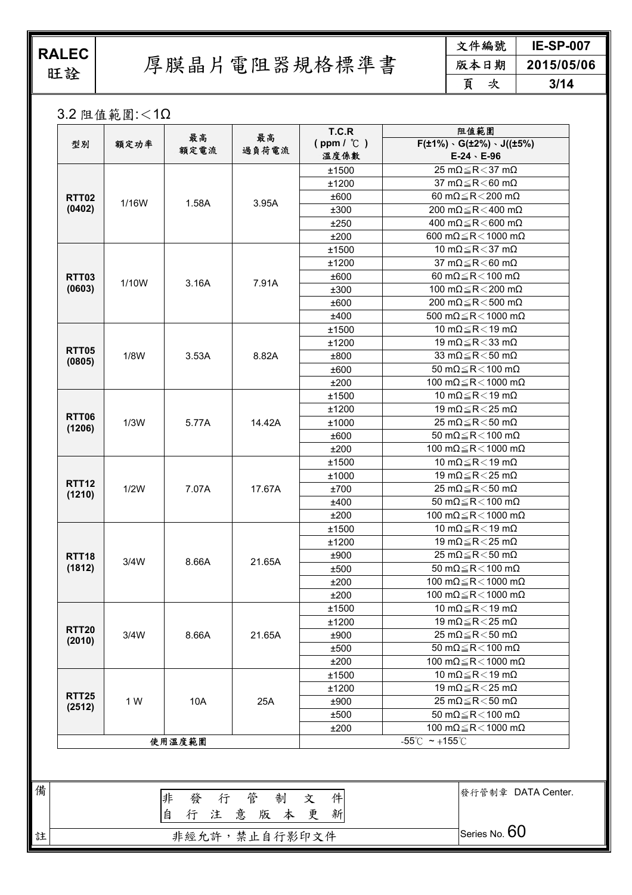**RALEC**<br>旺詮

註

厚膜晶片電阻器規格標準書

| 文件編號 | <b>IE-SP-007</b> |
|------|------------------|
| 版本日期 | 2015/05/06       |
| É    | 3/14             |

3.2 阻值範圍:<1Ω

| 型別                     | 額定功率  | 最高<br>額定電流 | 最高<br>過負荷電流 | T.C.R<br>$(ppm / \mathcal{C})$<br>溫度係數 | 阻值範圍<br>$F(\pm 1\%) \cdot G(\pm 2\%) \cdot J((\pm 5\%)$<br>$E-24 \cdot E-96$ |
|------------------------|-------|------------|-------------|----------------------------------------|------------------------------------------------------------------------------|
|                        |       |            |             | ±1500                                  | 25 m $\Omega \le R < 37$ m $\Omega$                                          |
| <b>RTT02</b>           |       |            |             | ±1200                                  | 37 m $\Omega \le R < 60$ m $\Omega$                                          |
|                        |       |            |             | ±600                                   | 60 m $\Omega \le R < 200$ m $\Omega$                                         |
| (0402)                 | 1/16W | 1.58A      | 3.95A       | ±300                                   | 200 m $\Omega \le R < 400$ m $\Omega$                                        |
|                        |       |            |             | ±250                                   | 400 m $\Omega \le R < 600$ m $\Omega$                                        |
|                        |       |            |             | ±200                                   | 600 m $\Omega \le R < 1000$ m $\Omega$                                       |
|                        |       |            |             | ±1500                                  | 10 m $\Omega \le R < 37$ m $\Omega$                                          |
|                        |       |            |             | ±1200                                  | 37 m $\Omega \le R < 60$ m $\Omega$                                          |
| <b>RTT03</b>           |       |            |             | ±600                                   | 60 m $\Omega \le R < 100$ m $\Omega$                                         |
| (0603)                 | 1/10W | 3.16A      | 7.91A       | ±300                                   | 100 m $\Omega \le R < 200$ m $\Omega$                                        |
|                        |       |            |             | ±600                                   | 200 m $\Omega \le R$ < 500 m $\Omega$                                        |
|                        |       |            |             | ±400                                   | 500 m $\Omega$ $\leq$ R $<$ 1000 m $\Omega$                                  |
|                        |       |            |             | ±1500                                  | 10 m $\Omega \le R < 19$ m $\Omega$                                          |
|                        |       |            |             | ±1200                                  | 19 m $\Omega \le R < 33$ m $\Omega$                                          |
| <b>RTT05</b>           | 1/8W  | 3.53A      | 8.82A       | ±800                                   | 33 m $\Omega \le R < 50$ m $\Omega$                                          |
| (0805)                 |       |            |             | ±600                                   | 50 m $\Omega$ $\leq$ R $<$ 100 m $\Omega$                                    |
|                        |       |            |             | ±200                                   | 100 m $\Omega \le R < 1000$ m $\Omega$                                       |
|                        |       |            |             | ±1500                                  | 10 m $\Omega \le R < 19$ m $\Omega$                                          |
|                        |       |            |             | ±1200                                  | 19 m $\Omega \le R < 25$ m $\Omega$                                          |
| <b>RTT06</b>           | 1/3W  | 5.77A      | 14.42A      | ±1000                                  | 25 m $\Omega \le R < 50$ m $\Omega$                                          |
| (1206)                 |       |            |             | ±600                                   | 50 m $\Omega \le R < 100$ m $\Omega$                                         |
|                        |       |            |             | ±200                                   | 100 m $\Omega \le R < 1000$ m $\Omega$                                       |
|                        |       |            | 17.67A      | ±1500                                  | 10 m $\Omega \le R < 19$ m $\Omega$                                          |
|                        | 1/2W  | 7.07A      |             | ±1000                                  | 19 m $\Omega \le R < 25$ m $\Omega$                                          |
| <b>RTT12</b>           |       |            |             | ±700                                   | 25 m $\Omega \le R < 50$ m $\Omega$                                          |
| (1210)                 |       |            |             | ±400                                   | 50 m $\Omega$ $\leq$ R $<$ 100 m $\Omega$                                    |
|                        |       |            |             | ±200                                   | 100 m $\Omega \le R < 1000$ m $\Omega$                                       |
|                        |       |            |             | ±1500                                  | 10 m $\Omega \le R < 19$ m $\Omega$                                          |
|                        |       |            |             | ±1200                                  | 19 m $\Omega \le R < 25$ m $\Omega$                                          |
|                        |       |            |             | ±900                                   | 25 m $\Omega \le R < 50$ m $\Omega$                                          |
| <b>RTT18</b><br>(1812) | 3/4W  | 8.66A      | 21.65A      | ±500                                   | 50 m $\Omega$ $\leq$ R $<$ 100 m $\Omega$                                    |
|                        |       |            |             | ±200                                   | 100 m $\Omega \le R < 1000$ m $\Omega$                                       |
|                        |       |            |             |                                        |                                                                              |
|                        |       |            |             | ±200                                   | 100 m $\Omega$ $\leq$ R $<$ 1000 m $\Omega$                                  |
|                        |       |            |             | ±1500                                  | 10 m $\Omega \le R < 19$ m $\Omega$                                          |
| <b>RTT20</b>           |       |            |             | ±1200                                  | 19 m $\Omega \le R < 25$ m $\Omega$<br>25 m $\Omega \le R < 50$ m $\Omega$   |
| (2010)                 | 3/4W  | 8.66A      | 21.65A      | ±900                                   | 50 m $\Omega$ $\leq$ R $<$ 100 m $\Omega$                                    |
|                        |       |            |             | ±500                                   |                                                                              |
|                        |       |            |             | ±200                                   | 100 m $\Omega$ $\leq$ R $<$ 1000 m $\Omega$                                  |
|                        |       |            |             | ±1500                                  | 10 m $\Omega \le R < 19$ m $\Omega$                                          |
| <b>RTT25</b>           |       |            |             | ±1200                                  | 19 m $\Omega \le R < 25$ m $\Omega$                                          |
| (2512)                 | 1 W   | 10A        | 25A         | ±900                                   | 25 m $\Omega \le R < 50$ m $\Omega$                                          |
|                        |       |            |             | ±500                                   | 50 m $\Omega$ $\leq$ R $<$ 100 m $\Omega$                                    |
|                        |       |            |             | ±200                                   | 100 m $\Omega$ $\leq$ R $<$ 1000 m $\Omega$                                  |
|                        |       | 使用温度範圍     |             |                                        | $-55^{\circ}$ C ~ +155 $^{\circ}$ C                                          |
|                        |       |            |             |                                        |                                                                              |
|                        |       | 非<br>發     | 行 管<br>制    | 件<br>文                                 | 發行管制章 DATA Center.                                                           |

**非經允許,禁止自行影印文件 Series No. 60**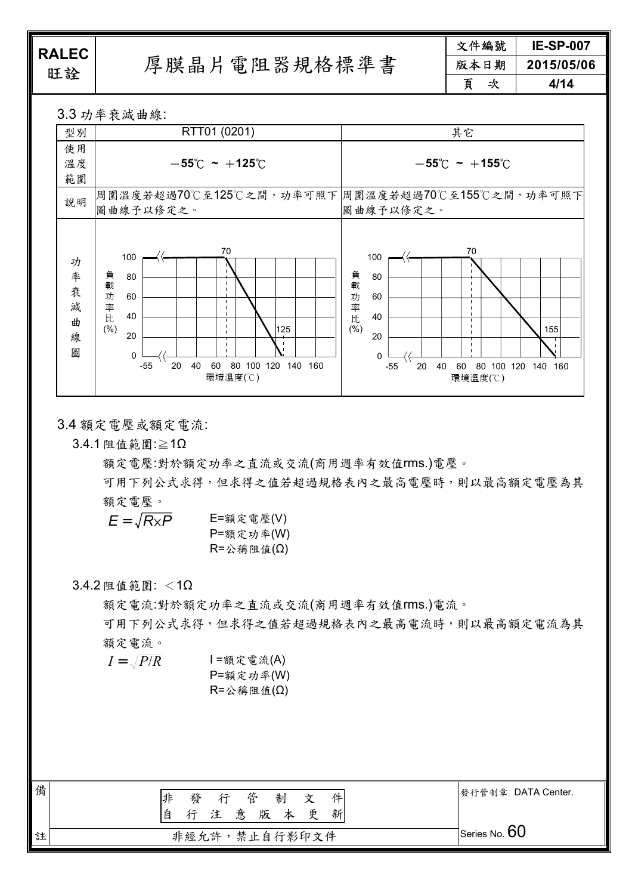ELLL<br>旺詮 厚膜晶片電阻器規格標準書

文件編號 **IE-SP-007**  版本日期 **2015/05/06**  頁次 **4/14** 

3.3 功率衰減曲線:

| 型別                          | RTT01 (0201)                                                                                                                                              | 其它                                                                                                                                           |
|-----------------------------|-----------------------------------------------------------------------------------------------------------------------------------------------------------|----------------------------------------------------------------------------------------------------------------------------------------------|
| 使用                          |                                                                                                                                                           |                                                                                                                                              |
| 溫度                          | $-55^{\circ}$ C ~ +125 $^{\circ}$ C                                                                                                                       | $-55^{\circ}$ C ~ $+155^{\circ}$ C                                                                                                           |
| 範圍                          |                                                                                                                                                           |                                                                                                                                              |
| 說明                          | 周圍溫度若超過70℃至125℃之間,功率可照下 周圍溫度若超過70℃至155℃之間,功率可照下<br>圖曲線予以修定之。                                                                                              | 圖曲線予以修定之。                                                                                                                                    |
| 功<br>率衰<br>減<br>曲<br>線<br>圖 | 70<br>100<br>負<br>80<br>載<br>功<br>60<br>率<br>40<br>比<br>(%)<br>125<br>20<br>$\Omega$<br>40<br>60<br>100<br>120<br>140 160<br>$-55$<br>20<br>80<br>環境溫度(℃) | 70<br>100<br>負載<br>80<br>功率比(%)<br>60<br>40<br>155<br>20<br>$\Omega$<br>20<br>40<br>60<br>80<br>100<br>120<br>$-55$<br>140<br>160<br>環境溫度(℃) |

3.4 額定電壓或額定電流:

3.4.1 阻值範圍:≧1Ω

額定電壓:對於額定功率之直流或交流(商用週率有效值rms.)電壓。

可用下列公式求得,但求得之值若超過規格表內之最高電壓時,則以最高額定電壓為其 額定電壓。

 $E = \sqrt{R_{X}P}$  E=額定電壓(V) P=額定功率(W) R=公稱阻值(Ω)

#### 3.4.2 阻值範圍: <1Ω

額定電流:對於額定功率之直流或交流(商用週率有效值rms.)電流。

可用下列公式求得,但求得之值若超過規格表內之最高電流時,則以最高額定電流為其 額定電流。

 $I = \sqrt{P/R}$  I =額定電流(A) P=額定功率(W) R=公稱阻值(Ω)

| 備 | 管<br>非<br>制<br>發<br>件<br>行<br>文<br>意 版<br>本更<br>新<br>注<br>自 | 發行管制章 DATA Center. |
|---|-------------------------------------------------------------|--------------------|
| 註 | 非經允許,禁止自行影印文件                                               | Series No. $60$    |
|   |                                                             |                    |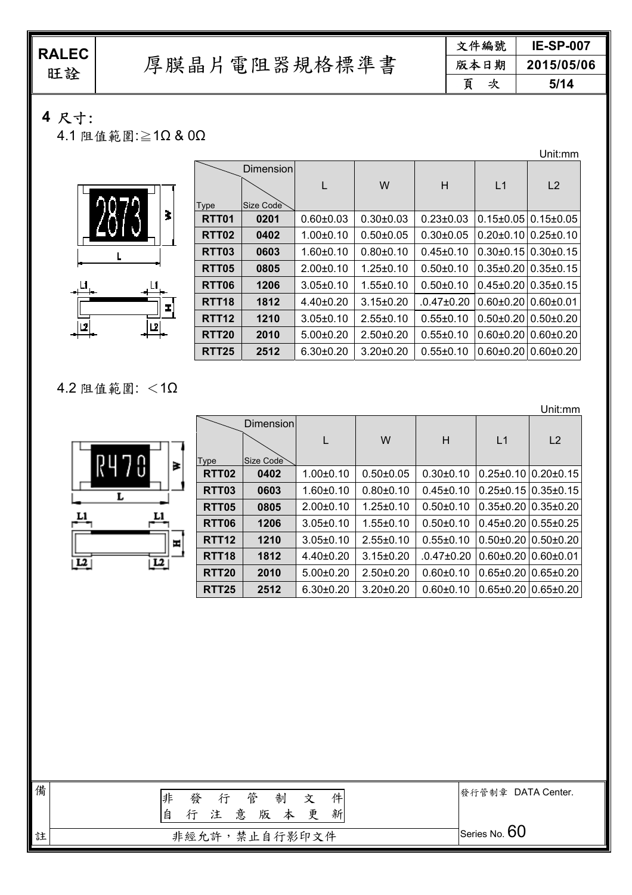旺詮 厚膜晶片電阻器規格標準書

| 文件編號 | <b>IE-SP-007</b> |
|------|------------------|
| 版本日期 | 2015/05/06       |
| 頁    | 5/14             |

## **4** 尺寸:

4.1 阻值範圍:≧1Ω & 0Ω

š

 $+$ <sup>L1</sup>

]ש|

╤<br>∏≖]

|                   |           |                 |                 |                  |                               | Unit:mm                      |
|-------------------|-----------|-----------------|-----------------|------------------|-------------------------------|------------------------------|
|                   | Dimension |                 |                 |                  |                               |                              |
|                   |           |                 | W               | H                | L1                            | L2                           |
| Type              | Size Code |                 |                 |                  |                               |                              |
| RTT <sub>01</sub> | 0201      | $0.60 + 0.03$   | $0.30 + 0.03$   | $0.23 \pm 0.03$  | $0.15\pm0.05$ 0.15 $\pm0.05$  |                              |
| RTT <sub>02</sub> | 0402      | $1.00 + 0.10$   | $0.50 + 0.05$   | $0.30 \pm 0.05$  | $0.20\pm0.10$   $0.25\pm0.10$ |                              |
| RTT03             | 0603      | $1.60 \pm 0.10$ | $0.80 + 0.10$   | $0.45 \pm 0.10$  | $0.30\pm0.15$ 0.30 $\pm0.15$  |                              |
| RTT <sub>05</sub> | 0805      | $2.00+0.10$     | $1.25 \pm 0.10$ | $0.50 \pm 0.10$  | $0.35\pm0.20$ 0.35 $\pm0.15$  |                              |
| <b>RTT06</b>      | 1206      | $3.05 \pm 0.10$ | $1.55 \pm 0.10$ | $0.50 \pm 0.10$  | $0.45\pm0.20$ 0.35 $\pm0.15$  |                              |
| <b>RTT18</b>      | 1812      | $4.40\pm0.20$   | $3.15 \pm 0.20$ | $.0.47 \pm 0.20$ | $0.60\pm0.20$ 0.60 $\pm0.01$  |                              |
| RTT <sub>12</sub> | 1210      | $3.05 \pm 0.10$ | $2.55 \pm 0.10$ | $0.55 \pm 0.10$  | $0.50\pm0.20$   $0.50\pm0.20$ |                              |
| <b>RTT20</b>      | 2010      | $5.00+0.20$     | $2.50+0.20$     | $0.55 \pm 0.10$  | $0.60\pm0.20$ 0.60 $\pm0.20$  |                              |
| <b>RTT25</b>      | 2512      | $6.30 \pm 0.20$ | $3.20 \pm 0.20$ | $0.55 \pm 0.10$  |                               | $0.60\pm0.20$ 0.60 $\pm0.20$ |
|                   |           |                 |                 |                  |                               |                              |

#### 4.2 阻值範圍: <1Ω

ŖL

<u>L1</u>

 $\overline{L^2}$ 

<u>|미</u>

L

|                  |                   |                  |                 |                 |                 |                               | Unit:mm                           |
|------------------|-------------------|------------------|-----------------|-----------------|-----------------|-------------------------------|-----------------------------------|
|                  |                   | <b>Dimension</b> |                 |                 |                 |                               |                                   |
|                  |                   |                  |                 | W               | H               | L1                            | L <sub>2</sub>                    |
| G<br>₹           | Type              | Size Code        |                 |                 |                 |                               |                                   |
|                  | RTT <sub>02</sub> | 0402             | $1.00 \pm 0.10$ | $0.50 \pm 0.05$ | $0.30 \pm 0.10$ |                               | $0.25 \pm 0.10$   $0.20 \pm 0.15$ |
|                  | RTT03             | 0603             | $1.60 \pm 0.10$ | $0.80 \pm 0.10$ | $0.45 \pm 0.10$ |                               | $0.25 \pm 0.15$ 0.35 $\pm 0.15$   |
|                  | <b>RTT05</b>      | 0805             | $2.00 \pm 0.10$ | $1.25 \pm 0.10$ | $0.50 + 0.10$   |                               | $0.35\pm0.20$ 0.35 $\pm0.20$      |
| L1               | RTT <sub>06</sub> | 1206             | $3.05 \pm 0.10$ | $1.55 \pm 0.10$ | $0.50 \pm 0.10$ |                               | $0.45\pm0.20$ 0.55 $\pm0.25$      |
| ш                | <b>RTT12</b>      | 1210             | $3.05 \pm 0.10$ | $2.55 \pm 0.10$ | $0.55 \pm 0.10$ |                               | $0.50\pm0.20$ 0.50 $\pm0.20$      |
| $\overline{L^2}$ | RTT <sub>18</sub> | 1812             | $4.40 \pm 0.20$ | $3.15 \pm 0.20$ | .0.47±0.20      | $0.60\pm0.20$   $0.60\pm0.01$ |                                   |
|                  | <b>RTT20</b>      | 2010             | $5.00+0.20$     | $2.50+0.20$     | $0.60 + 0.10$   | $0.65 \pm 0.20$               | $0.65 \pm 0.20$                   |
|                  | <b>RTT25</b>      | 2512             | $6.30 \pm 0.20$ | $3.20 \pm 0.20$ | $0.60 + 0.10$   |                               | $0.65 \pm 0.20$ 0.65 $\pm 0.20$   |

| 備 | 非<br>行管制<br>發<br>文<br>注意版本更<br>新<br>自 | 發行管制章 DATA Center.           |
|---|---------------------------------------|------------------------------|
| 註 | 非經允許,禁止自行影印文件                         | $\mathcal I$ Series No. $60$ |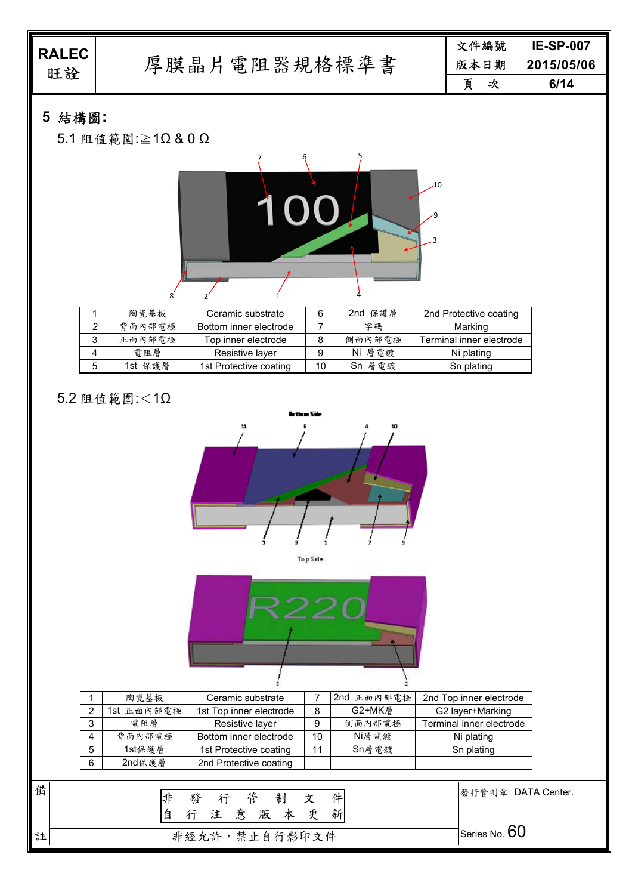| <b>RALEC</b><br>旺詮 |              |   | 文件編號 | <b>IE-SP-007</b> |
|--------------------|--------------|---|------|------------------|
|                    | 厚膜晶片電阻器規格標準書 |   | 版本日期 | 2015/05/06       |
|                    |              | 百 | 次    | 6/14             |
|                    |              |   |      |                  |

# **5** 結構圖**:**

5.1 阻值範圍:≧1Ω & 0 Ω



|   | 陶瓷基板    | Ceramic substrate      |    | 2nd<br>保護層 | 2nd Protective coating   |
|---|---------|------------------------|----|------------|--------------------------|
|   | 背面内部電極  | Bottom inner electrode |    | 字碼         | Marking                  |
| 3 | 正面内部電極  | Top inner electrode    |    | 側面内部電極     | Terminal inner electrode |
| 4 | 電阻層     | Resistive layer        |    | Ni 層電鍍     | Ni plating               |
| 5 | 1st 保護層 | 1st Protective coating | 10 | Sn 層電鍍     | Sn plating               |

# 5.2 阻值範圍:<1Ω





|   | 陶瓷基板       | Ceramic substrate       |    | 2nd 正面內部電極 | 2nd Top inner electrode  |
|---|------------|-------------------------|----|------------|--------------------------|
| ົ | 1st 正面內部電極 | 1st Top inner electrode | 8  | G2+MK層     | G2 layer+Marking         |
| 3 | 雷阻層        | Resistive layer         |    | 側面內部電極     | Terminal inner electrode |
| 4 | 背面內部電極     | Bottom inner electrode  | 10 | Ni層 雷鍍     | Ni plating               |
| 5 | 1st保護層     | 1st Protective coating  | 11 | Sn層電鍍      | Sn plating               |
| 6 | 2nd保護層     | 2nd Protective coating  |    |            |                          |

| 備 | 行管制<br>俳<br>發<br>文<br>件<br>行注意版本更<br>自<br>新 | 發行管制章 DATA Center.                  |
|---|---------------------------------------------|-------------------------------------|
| 註 | 非經允許,禁止自行影印文件                               | $\mathbin{\exists}$ Series No. $60$ |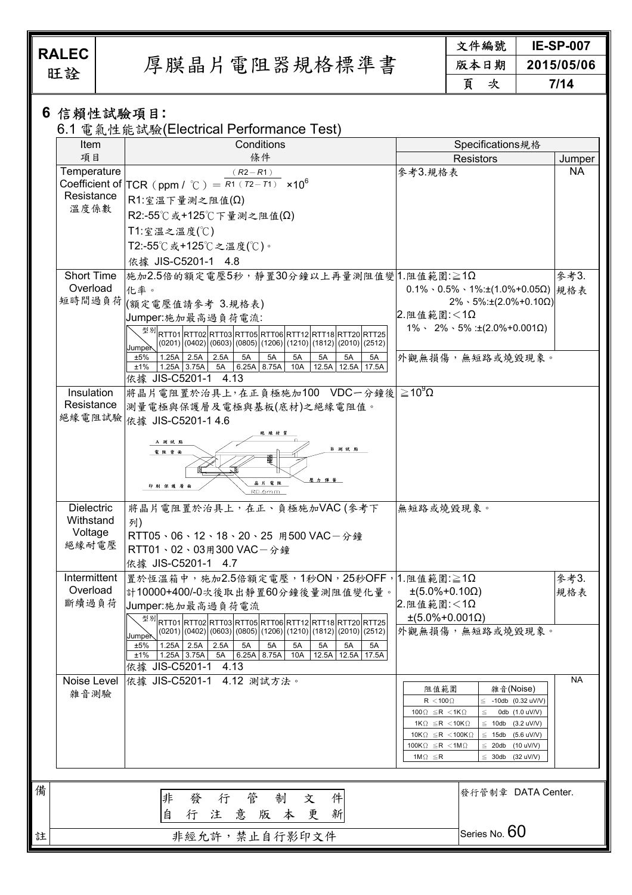旺詮 厚膜晶片電阻器規格標準書

文件編號 **IE-SP-007**  版本日期 **2015/05/06**  頁次 **7/14** 

### **6** 信賴性試驗項目**:**

6.1 電氣性能試驗(Electrical Performance Test)

| Item                                      | Conditions                                                                                                                                                                                              | Specifications規格                                                                                                                                                                |             |
|-------------------------------------------|---------------------------------------------------------------------------------------------------------------------------------------------------------------------------------------------------------|---------------------------------------------------------------------------------------------------------------------------------------------------------------------------------|-------------|
| 項目                                        | 條件                                                                                                                                                                                                      | <b>Resistors</b>                                                                                                                                                                | Jumper      |
| Temperature<br>Resistance                 | $(R2 - R1)$<br>Coefficient of $TCR (ppm / C) = R1(T2-T1) \times 10^6$<br>$R1: \hat{\mathbb{Z}} \ddot{\mathbb{Z}} \top \hat{\mathbb{E}}$ 测之阻值( $\Omega$ )                                                | 參考3.規格表                                                                                                                                                                         | <b>NA</b>   |
| 溫度係數                                      | R2:-55℃或+125℃下量測之阻值(Ω)                                                                                                                                                                                  |                                                                                                                                                                                 |             |
|                                           | T1:室溫之溫度(℃)<br>T2:-55℃或+125℃之温度(℃)。                                                                                                                                                                     |                                                                                                                                                                                 |             |
|                                           | 依據 JIS-C5201-1 4.8                                                                                                                                                                                      |                                                                                                                                                                                 |             |
| <b>Short Time</b><br>Overload             | 施加2.5倍的額定電壓5秒,靜置30分鐘以上再量測阻值變 1.阻值範圍:≧1Ω<br>化率。                                                                                                                                                          | $0.1\% \cdot 0.5\% \cdot 1\% : \pm(1.0\% + 0.05\Omega)$                                                                                                                         | 參考3.<br>規格表 |
|                                           | 短時間過負荷 (額定電壓值請參考 3.規格表)<br>Jumper: 施加最高過負荷電流:                                                                                                                                                           | $2\% \cdot 5\% : \pm(2.0\% + 0.10\Omega)$<br>2.阻值範圍:<1Ω                                                                                                                         |             |
|                                           | <sup>型께</sup> RTT01RTT02RTT03RTT05RTT06RTT12RTT18RTT20RTT25<br>$(0201) (0402) (0603) (0805) (1206) (1210) (1812) (2010) (2512)$                                                                         | $1\% \cdot 2\% \cdot 5\%$ : ±(2.0%+0.001 $\Omega$ )                                                                                                                             |             |
|                                           | Jumper<br>2.5A<br>±5%<br>1.25A<br>2.5A<br>5A<br>5A<br>5A<br>5A<br>5A<br>5A<br>±1%<br>1.25A 3.75A<br>6.25A 8.75A<br>10A<br>12.5A<br>12.5A 17.5A<br>5A                                                    | 外觀無損傷,無短路或燒毀現象。                                                                                                                                                                 |             |
| Insulation                                | 依據 JIS-C5201-1 4.13<br>$ \ddot{x}$ 晶片電阻置於治具上,在正負極施加100 VDC一分鐘後 $\geq$ 10 $^9$ Ω                                                                                                                         |                                                                                                                                                                                 |             |
| Resistance                                | 測量電極與保護層及電極與基板(底材)之絕緣電阻值。<br>絕緣電阻試驗 依據 JIS-C5201-14.6                                                                                                                                                   |                                                                                                                                                                                 |             |
|                                           | A 测试點<br>B 测试點<br>電阻背面                                                                                                                                                                                  |                                                                                                                                                                                 |             |
|                                           | <b>医力 彈 審</b><br>印刷保護層<br>RD.omm                                                                                                                                                                        |                                                                                                                                                                                 |             |
| <b>Dielectric</b><br>Withstand<br>Voltage | 將晶片電阻置於治具上,在正、負極施加VAC(參考下<br>列)<br>RTT05、06、12、18、20、25 用500 VAC-分鐘                                                                                                                                     | 無短路或燒毀現象。                                                                                                                                                                       |             |
| 絕緣耐電壓                                     | RTT01、02、03用300 VAC-分鐘<br>依據 JIS-C5201-1 4.7                                                                                                                                                            |                                                                                                                                                                                 |             |
| Intermittent<br>Overload                  | $\vert$ 置於恆溫箱中,施加2.5倍額定電壓,1秒ON,25秒OFF,1.阻值範圍:≧1Ω<br>計10000+400/-0次後取出靜置60分鐘後量測阻值變化量。                                                                                                                    | $\pm(5.0\% + 0.10\Omega)$                                                                                                                                                       | 參考3.<br>規格表 |
| 斷續過負荷                                     | Jumper:施加最高過負荷電流<br>型別                                                                                                                                                                                  | 2.阻值範圍:<1Ω<br>$\pm (5.0\% + 0.001\Omega)$                                                                                                                                       |             |
|                                           | RTT01 RTT02 RTT03 RTT05 RTT06 RTT12 RTT18 RTT20 RTT25<br>$(0201) (0402) (0603) (0805) (1206) (1210) (1812) (2010) (2512)$<br>lumper<br>2.5A<br>2.5A<br>±5%<br>1.25A<br>5A<br>5A<br>5A<br>5A<br>5A<br>5A | 外觀無損傷,無短路或燒毀現象。                                                                                                                                                                 |             |
|                                           | 1.25A 3.75A<br>6.25A<br>8.75A<br>12.5A<br>12.5A 17.5A<br>$±1\%$<br>5A<br>10A<br>依據 JIS-C5201-1<br>4.13                                                                                                  |                                                                                                                                                                                 |             |
| Noise Level<br>雜音測驗                       | 依據 JIS-C5201-1<br>4.12 测試方法。                                                                                                                                                                            | 阻值範圍<br>雜音(Noise)<br>$R < 100 \Omega$<br>-10db (0.32 uV/V)                                                                                                                      | NА          |
|                                           |                                                                                                                                                                                                         | $100\Omega \leq R < 1K\Omega$<br>0db (1.0 uV/V)<br>$1K\Omega \leq R < 10K\Omega$<br>$(3.2 \text{ uV/V})$<br>10db<br>10K $\Omega \leq R$ < 100K $\Omega$<br>$(5.6$ uV/V)<br>15db |             |
|                                           |                                                                                                                                                                                                         | 100K $\Omega \leq R$ < 1M $\Omega$<br>20db<br>$(10$ uV/V)<br>(32 uV/V)<br>$1M\Omega \leq R$<br>30db                                                                             |             |
|                                           | 管<br>件<br>非<br>制<br>發<br>行<br>文                                                                                                                                                                         | 發行管制章 DATA Center.                                                                                                                                                              |             |
|                                           | 本更<br>新<br>自<br>意<br>版<br>行<br>注                                                                                                                                                                        |                                                                                                                                                                                 |             |
|                                           | 非經允許,禁止自行影印文件                                                                                                                                                                                           | Series No. $60$                                                                                                                                                                 |             |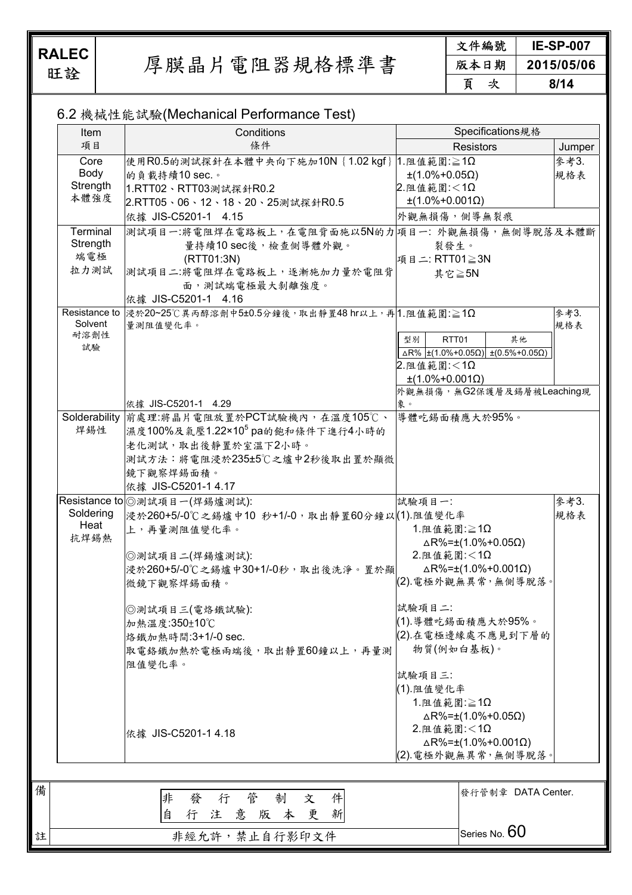備

註

旺詮 厚膜晶片電阻器規格標準書

文件編號 **IE-SP-007**  版本日期 **2015/05/06**  頁次 **8/14** 

#### 6.2 機械性能試驗(Mechanical Performance Test)

| Item              | Conditions                                                      | Specifications規格                                                     |        |
|-------------------|-----------------------------------------------------------------|----------------------------------------------------------------------|--------|
| 項目                | 條件                                                              | <b>Resistors</b>                                                     | Jumper |
| Core              | 使用R0.5的測試探針在本體中央向下施加10N{1.02 kgf} 1.阻值範圍:≧1Ω                    |                                                                      | 參考3.   |
| Body              | 的負載持續10 sec.。                                                   | $\pm(1.0\% + 0.05\Omega)$                                            | 規格表    |
| Strength          | 1.RTT02、RTT03測試探針R0.2                                           | 2. 阻值範圍:<1Ω                                                          |        |
| 本體強度              | 2.RTT05、06、12、18、20、25測試探針R0.5                                  | $\pm$ (1.0%+0.001 $\Omega$ )                                         |        |
|                   | 依據 JIS-C5201-1 4.15                                             | 外觀無損傷,側導無裂痕                                                          |        |
| Terminal          | 測試項目一:將電阻焊在電路板上,在電阻背面施以5N的力 項目一: 外觀無損傷,無側導脫落及本體斷                |                                                                      |        |
| Strength          | 量持續10 sec後,檢查側導體外觀。                                             | 裂發生。                                                                 |        |
| 端電極               | (RTT01:3N)                                                      | 項目二: RTT01≧3N                                                        |        |
| 拉力測試              | 測試項目二:將電阻焊在電路板上,逐漸施加力量於電阻背                                      | 其它≧5N                                                                |        |
|                   | 面,測試端電極最大剝離強度。                                                  |                                                                      |        |
|                   | 依據 JIS-C5201-1 4.16                                             |                                                                      |        |
|                   | Resistance to  浸於20~25℃異丙醇溶劑中5±0.5分鐘後,取出靜置48 hr以上,再 1.阻值範圍: ≧1Ω |                                                                      | 參考3.   |
| Solvent           | 量測阻值變化率。                                                        |                                                                      | 規格表    |
| 耐溶劑性              |                                                                 | RTT01<br>其他<br>型別                                                    |        |
| 試驗                |                                                                 | $\Delta$ R% ±(1.0%+0.05 $\Omega$ ) ±(0.5%+0.05 $\Omega$ )            |        |
|                   |                                                                 | 2. 阻值範圍:<1Ω                                                          |        |
|                   |                                                                 | $\pm$ (1.0%+0.001 $\Omega$ )                                         |        |
|                   |                                                                 | 外觀無損傷,無G2保護層及錫層被Leaching現                                            |        |
|                   | 依據 JIS-C5201-1 4.29                                             | 象。                                                                   |        |
|                   | Solderability 前處理:將晶片電阻放置於PCT試驗機內,在溫度105℃、                      | 導體吃錫面積應大於95%。                                                        |        |
| 焊錫性               | 濕度100%及氣壓1.22×10 <sup>5</sup> pa的飽和條件下進行4小時的                    |                                                                      |        |
|                   | 老化測試,取出後靜置於室溫下2小時。                                              |                                                                      |        |
|                   | 測試方法:將電阻浸於235±5℃之爐中2秒後取出置於顯微                                    |                                                                      |        |
|                   | 鏡下觀察焊錫面積。                                                       |                                                                      |        |
|                   | 依據 JIS-C5201-1 4.17                                             |                                                                      |        |
|                   | Resistance to ②測試項目一(焊錫爐測試):                                    | 試驗項目一:                                                               | 參考3.   |
| Soldering<br>Heat | 浸於260+5/-0℃之錫爐中10 秒+1/-0,取出靜置60分鐘以(1)阻值變化率                      |                                                                      | 規格表    |
| 抗焊錫熱              | 上,再量測阻值變化率。                                                     | $1.$ 阻值範圍: $\geq 1\Omega$                                            |        |
|                   |                                                                 | $\triangle$ R%=±(1.0%+0.05 $\Omega$ )                                |        |
|                   | ◎測試項目二(焊鍚爐測試):                                                  | $2.$ 阻值範圍:<1 $\Omega$                                                |        |
|                   | 浸於260+5/-0℃之錫爐中30+1/-0秒,取出後洗淨。置於顯                               | $\triangle$ R%= $\pm$ (1.0%+0.001 $\Omega$ )<br>(2). 電極外觀無異常, 無側導脫落。 |        |
|                   | 微鏡下觀察焊錫面積。                                                      |                                                                      |        |
|                   | ◎測試項目三(電烙鐵試驗):                                                  | 試驗項目二:                                                               |        |
|                   | 加熱溫度:350±10℃                                                    | (1).導體吃錫面積應大於95%。                                                    |        |
|                   | 烙鐵加熱時間:3+1/-0 sec.                                              | (2).在電極邊緣處不應見到下層的                                                    |        |
|                   | 取電絡鐵加熱於電極兩端後,取出靜置60鐘以上,再量測                                      | 物質(例如白基板)。                                                           |        |
|                   | 阻值變化率。                                                          |                                                                      |        |
|                   |                                                                 | 試驗項目三:                                                               |        |
|                   |                                                                 | (1).阻值變化率                                                            |        |
|                   |                                                                 | $1.$ 阻值範圍: $\geq 1\Omega$                                            |        |
|                   |                                                                 | $\triangle$ R%=±(1.0%+0.05 $\Omega$ )                                |        |
|                   | 依據 JIS-C5201-1 4.18                                             | 2. 阻值範圍: < 1Ω                                                        |        |
|                   |                                                                 | $\triangle$ R%= $\pm$ (1.0%+0.001 $\Omega$ )                         |        |
|                   |                                                                 | (2). 電極外觀無異常, 無側導脫落。                                                 |        |
|                   |                                                                 |                                                                      |        |
|                   |                                                                 | 發行管制章 DATA Center.                                                   |        |
|                   | 發行管<br>非<br>件<br>制<br>文                                         |                                                                      |        |
|                   | 新<br>自<br>行注意版本更                                                |                                                                      |        |
|                   |                                                                 | Series No. $60$                                                      |        |
|                   | 非經允許,禁止自行影印文件                                                   |                                                                      |        |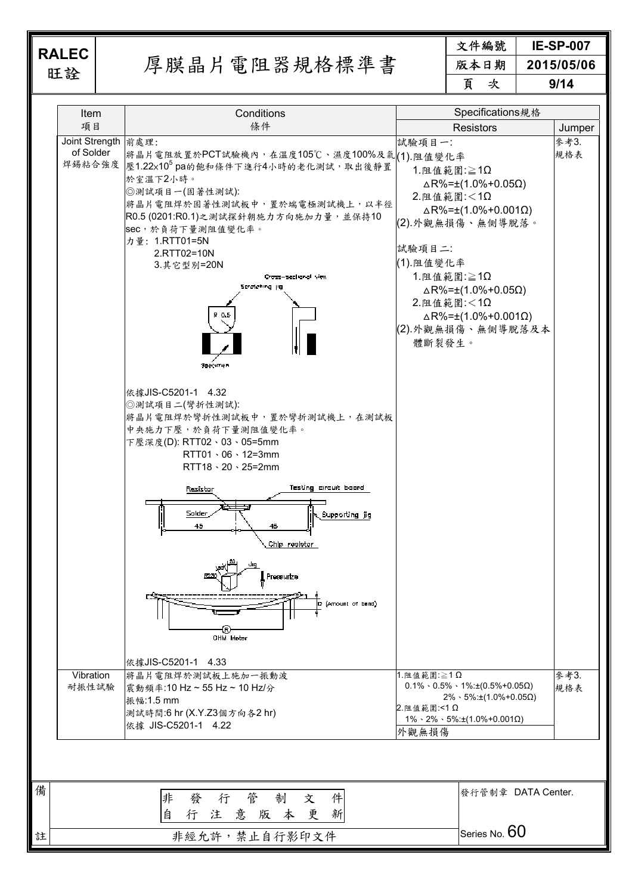旺詮 厚膜晶片電阻器規格標準書

文件編號 **IE-SP-007**  版本日期 **2015/05/06**  頁次 **9/14** 

| <b>Item</b>                      | Conditions                                                                                                                                                                                                                                                                                                                                                                                                                                                                                                                                                                                                                                                                                              |                                                                                                                                  | Specifications規格                                                                                                                                                                                                                    |             |
|----------------------------------|---------------------------------------------------------------------------------------------------------------------------------------------------------------------------------------------------------------------------------------------------------------------------------------------------------------------------------------------------------------------------------------------------------------------------------------------------------------------------------------------------------------------------------------------------------------------------------------------------------------------------------------------------------------------------------------------------------|----------------------------------------------------------------------------------------------------------------------------------|-------------------------------------------------------------------------------------------------------------------------------------------------------------------------------------------------------------------------------------|-------------|
| 項目                               | 條件                                                                                                                                                                                                                                                                                                                                                                                                                                                                                                                                                                                                                                                                                                      |                                                                                                                                  | <b>Resistors</b>                                                                                                                                                                                                                    | Jumper      |
| Joint Strength 前處理:<br>of Solder | 將晶片電阻放置於PCT試驗機內,在溫度105℃、濕度100%及氣 (1).阻值變化率<br>焊錫粘合強度  壓1.22×10 <sup>5</sup> pa的飽和條件下進行4小時的老化測試, 取出後靜置<br>於室溫下2小時。<br>◎測試項目一(固著性測試):<br>將晶片電阻焊於固著性測試板中,置於端電極測試機上,以半徑<br>R0.5 (0201:R0.1)之測試探針朝施力方向施加力量,並保持10<br>sec,於負荷下量測阻值變化率。<br>力量: 1.RTT01=5N<br>2.RTT02=10N<br>3. 其它型别=20N<br>Cross-sectional view<br>Stratching jig<br>P 0.5<br>96ecımer<br>依據JIS-C5201-1 4.32<br>◎測試項目二(彎折性測試):<br>將晶片電阻焊於彎折性測試板中,置於彎折測試機上,在測試板<br>中央施力下壓,於負荷下量測阻值變化率。<br>下壓深度(D): RTT02、03、05=5mm<br>$RTT01 \cdot 06 \cdot 12=3$ mm<br>$RTT18 \cdot 20 \cdot 25 = 2mm$<br>Testing circuit board<br>Resistor<br>Solder<br>Supporting jig<br>45<br>46<br>Chip realstor<br><b>Pressurize</b><br>(Amount of band)<br>D<br>OHM Meter | 試驗項目一:<br>$1.$ 阻值範圍: $\geq 1\Omega$<br>2. 阻值範圍:<1Ω<br>試驗項目二:<br>(1). 阻值變化率<br>$1.$ 阻值範圍: $\geq 1\Omega$<br>2. 阻值範圍:<1Ω<br>體斷裂發生。 | $\triangle$ R%= $\pm$ (1.0%+0.05 $\Omega$ )<br>$\triangle$ R%= $\pm$ (1.0%+0.001 $\Omega$ )<br>(2).外觀無損傷、無側導脫落。<br>$\triangle$ R%= $\pm$ (1.0%+0.05 $\Omega$ )<br>$\triangle$ R%= $\pm$ (1.0%+0.001 $\Omega$ )<br>(2).外觀無損傷、無側導脫落及本 | 參考3.<br>規格表 |
| Vibration<br>耐振性試驗               | 依據JIS-C5201-1 4.33<br>將晶片電阻焊於測試板上施加一振動波<br>震動頻率:10 Hz ~ 55 Hz ~ 10 Hz/分<br>振幅:1.5 mm<br>測試時間:6 hr (X.Y.Z3個方向各2 hr)<br>依據 JIS-C5201-1 4.22                                                                                                                                                                                                                                                                                                                                                                                                                                                                                                                                                               | 1. 阻值範圍: ≧1Ω<br>2. 阻值範圍:<1Ω<br>外觀無損傷                                                                                             | $0.1\% \cdot 0.5\% \cdot 1\% \pm (0.5\% + 0.05\Omega)$<br>$2\% \cdot 5\% : \pm(1.0\% + 0.05\Omega)$<br>$1\% \cdot 2\% \cdot 5\% : \pm(1.0\% + 0.001\Omega)$                                                                         | 參考3.<br>規格表 |
|                                  | 管<br>件<br>制<br>發<br>行<br>非<br>文                                                                                                                                                                                                                                                                                                                                                                                                                                                                                                                                                                                                                                                                         |                                                                                                                                  | 發行管制章 DATA Center.                                                                                                                                                                                                                  |             |
| 註                                | 版本更<br>新<br>自<br>意<br>行<br>注<br>非經允許,禁止自行影印文件                                                                                                                                                                                                                                                                                                                                                                                                                                                                                                                                                                                                                                                           |                                                                                                                                  | Series No. $60$                                                                                                                                                                                                                     |             |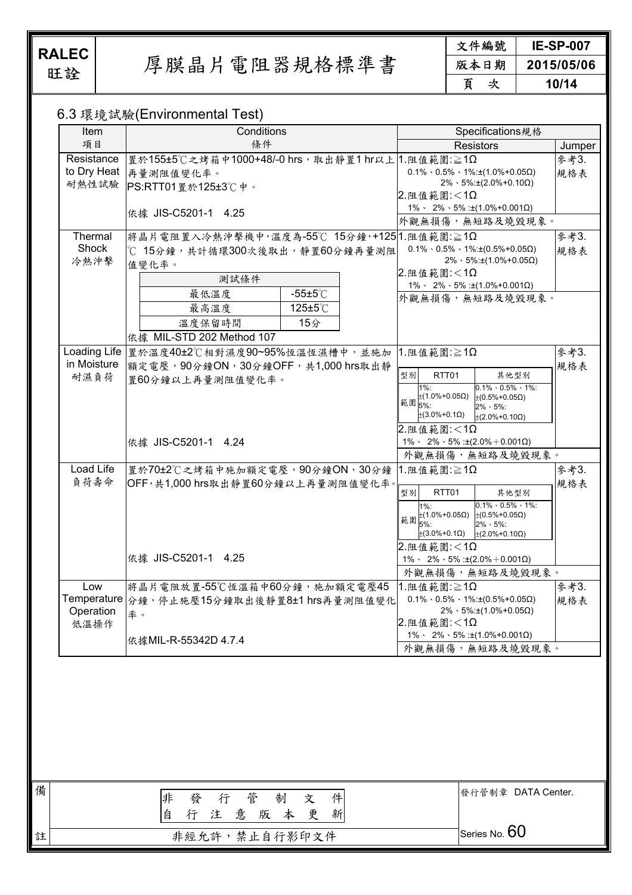備

註

旺詮 厚膜晶片電阻器規格標準書

文件編號 **IE-SP-007**  版本日期 **2015/05/06**  頁次 **10/14** 

#### 6.3 環境試驗(Environmental Test)

| Item                     | $\sim$ . The state of $\sim$ ( $\sim$ ) in the state of $\sim$ . The state of $\sim$<br>Conditions     | Specifications規格                                                                                                                                                                                                                  |             |
|--------------------------|--------------------------------------------------------------------------------------------------------|-----------------------------------------------------------------------------------------------------------------------------------------------------------------------------------------------------------------------------------|-------------|
| 項目                       | 條件                                                                                                     | <b>Resistors</b>                                                                                                                                                                                                                  | Jumper      |
| Resistance               | 置於155±5℃之烤箱中1000+48/-0 hrs, 取出靜置1 hr以上 1.阻值範圍:≧1Ω<br>to Dry Heat 再量測阻值變化率。<br>耐熱性試驗 PS:RTT01置於125±3℃中。 | $0.1\% \cdot 0.5\% \cdot 1\% : \pm(1.0\% + 0.05\Omega)$<br>$2\% \cdot 5\% \pm (2.0\% + 0.10\Omega)$<br>$2.$ 阻值範圍:<1 $\Omega$                                                                                                      | 參考3.<br>規格表 |
|                          | 依據 JIS-C5201-1 4.25                                                                                    | $1\% \cdot 2\% \cdot 5\%$ : ±(1.0%+0.001 $\Omega$ )<br>外觀無損傷,無短路及燒毀現象。                                                                                                                                                            |             |
| Thermal                  | 將晶片電阻置入冷熱沖擊機中,溫度為-55℃ 15分鐘,+125 1.阻值範圍:≧1Ω                                                             |                                                                                                                                                                                                                                   | 參考3.        |
| Shock<br>冷熱沖擊            | ℃ 15分鐘,共計循環300次後取出,靜置60分鐘再量測阻<br>值變化率。<br>測試條件                                                         | $0.1\% \cdot 0.5\% \cdot 1\% \pm (0.5\% + 0.05\Omega)$<br>$2\% \cdot 5\% : \pm(1.0\% + 0.05\Omega)$<br>$2.$ 阻值範圍:<1 $\Omega$<br>$1\% \cdot 2\% \cdot 5\%$ : ±(1.0%+0.001 $\Omega$ )                                               | 規格表         |
|                          | 最低溫度<br>$-55\pm5^{\circ}$ C<br>125±5°C<br>最高溫度<br>15分<br>溫度保留時間<br>依據 MIL-STD 202 Method 107           | 外觀無損傷,無短路及燒毀現象。                                                                                                                                                                                                                   |             |
|                          | Loading Life  置於溫度40±2℃相對濕度90~95%恆溫恆濕槽中,並施加                                                            | $1.$ 阻值範圍: $\geq 1\Omega$                                                                                                                                                                                                         | 參考3.        |
| in Moisture<br>耐濕負荷      | 額定電壓, 90分鐘ON, 30分鐘OFF, 共1,000 hrs取出靜<br>置60分鐘以上再量測阻值變化率。                                               | 型別<br>RTT01<br>其他型別<br>$0.1\% \cdot 0.5\% \cdot 1\%$ :<br>$1\%$ :<br>$±(1.0% + 0.05Ω)$<br>$±$ (0.5%+0.05Ω)<br>範圍 5%:<br>$2\% \cdot 5\%$ :<br>$±$ (3.0%+0.1Ω)<br>$\pm (2.0\% + 0.10 \Omega)$<br>2. 阻值範圍:<1Ω                        | 規格表         |
|                          | 依據 JIS-C5201-1 4.24                                                                                    | $1\% \cdot 2\% \cdot 5\% : \pm(2.0\% + 0.001Ω)$<br>外觀無損傷,無短路及燒毀現象。                                                                                                                                                                |             |
| Load Life<br>負荷壽命        | 置於70±2℃之烤箱中施加額定電壓, 90分鐘ON, 30分鐘<br>OFF,共1,000 hrs取出靜置60分鐘以上再量測阻值變化率。                                   | $1.$ 阻值範圍: $\geq 1\Omega$<br>型別<br>RTT01<br>其他型別<br>$0.1\% \cdot 0.5\% \cdot 1\%$ :<br>$1\%$ :<br>範圍 $\pm$ (1.0%+0.05Ω) $\pm$ (0.5%+0.05Ω)<br>$2\% \cdot 5\%$ :<br>5%:<br>$\pm(3.0\% + 0.1\Omega)$<br>$\pm (2.0\% + 0.10 \Omega)$ | 參考3.<br>規格表 |
|                          | 依據 JIS-C5201-1 4.25                                                                                    | 2.阻值範圍:<1Ω<br>$1\% \cdot 2\% \cdot 5\% : \pm(2.0\% + 0.001\Omega)$<br>外觀無損傷,無短路及燒毀現象。                                                                                                                                             |             |
| Low<br>Operation<br>低溫操作 | 將晶片電阻放置-55℃恆溫箱中60分鐘,施加額定電壓45<br>Temperature $\ket{\hat{\gamma}$ 鐘,停止施壓15分鐘取出後靜置8±1 hrs再量測阻值變化 <br>率。   | $1.$ 阻值範圍: $\geq 1\Omega$<br>$0.1\% \cdot 0.5\% \cdot 1\% \pm (0.5\% + 0.05\Omega)$<br>$2\% \cdot 5\% \pm (1.0\% + 0.05\Omega)$<br>$2.$ 阻值範圍:<1 $\Omega$                                                                          | 參考3.<br>規格表 |
|                          | 依據MIL-R-55342D 4.7.4                                                                                   | $1\% \cdot 2\% \cdot 5\%$ : ±(1.0%+0.001 $\Omega$ )<br>外觀無損傷,無短路及燒毀現象。                                                                                                                                                            |             |
|                          |                                                                                                        |                                                                                                                                                                                                                                   |             |
|                          | 管<br>件<br>非<br>制<br>發<br>行<br>文<br>自<br>注意版本更<br>新<br>行                                                | 發行管制章 DATA Center.                                                                                                                                                                                                                |             |
|                          | 非經允許,禁止自行影印文件                                                                                          | Series No. 60                                                                                                                                                                                                                     |             |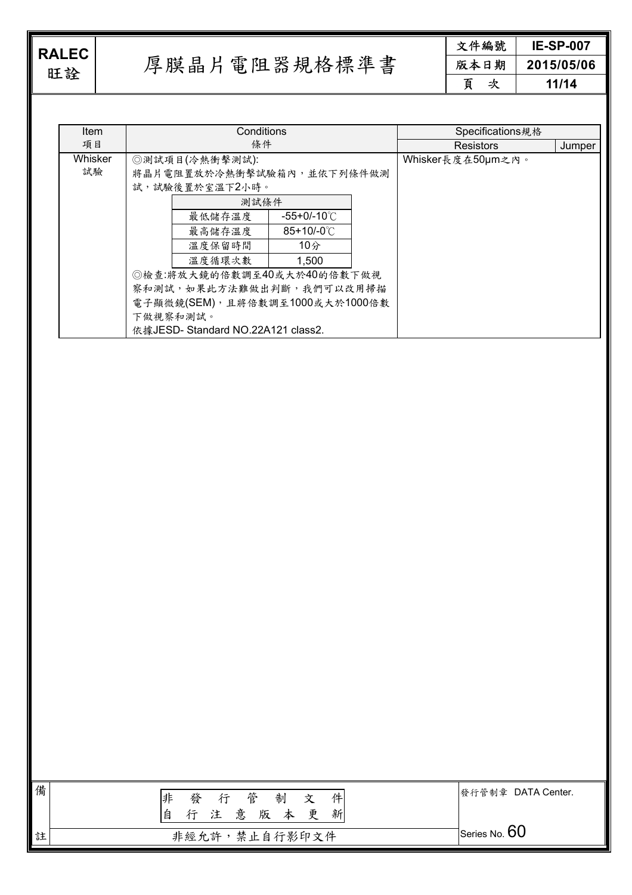**RALEC**<br>旺詮

厚膜晶片電阻器規格標準書

文件編號 **IE-SP-007**  版本日期 **2015/05/06**  頁次 **11/14** 

| Item    |    | Conditions                        |                      |        | Specifications規格  |  |
|---------|----|-----------------------------------|----------------------|--------|-------------------|--|
| 項目      | 條件 |                                   | <b>Resistors</b>     | Jumper |                   |  |
| Whisker |    | ◎測試項目(冷熱衝擊測試):                    |                      |        | Whisker長度在50µm之內。 |  |
| 試驗      |    | 將晶片電阻置放於冷熱衝擊試驗箱內,並依下列條件做測         |                      |        |                   |  |
|         |    | 試,試驗後置於室溫下2小時。                    |                      |        |                   |  |
|         |    | 測試條件                              |                      |        |                   |  |
|         |    | 最低儲存溫度                            | -55+0/-10℃           |        |                   |  |
|         |    | 最高儲存溫度                            | $85+10/-0^{\circ}$ C |        |                   |  |
|         |    | 溫度保留時間                            | 10分                  |        |                   |  |
|         |    | 溫度循環次數                            | 1,500                |        |                   |  |
|         |    | ◎檢查:將放大鏡的倍數調至40或大於40的倍數下做視        |                      |        |                   |  |
|         |    | 察和測試,如果此方法難做出判斷,我們可以改用掃描          |                      |        |                   |  |
|         |    | 電子顯微鏡(SEM),且將倍數調至1000或大於1000倍數    |                      |        |                   |  |
|         |    | 下做視察和測試。                          |                      |        |                   |  |
|         |    | 依據JESD-Standard NO.22A121 class2. |                      |        |                   |  |

| 備 | 行管<br>發<br>制<br>非<br>件<br>寸<br>注意版本更<br>自<br>新<br>行 | 發行管制章 DATA Center. |
|---|-----------------------------------------------------|--------------------|
| 註 | 非經允許,禁止自行影印文件                                       | Series No. $60$    |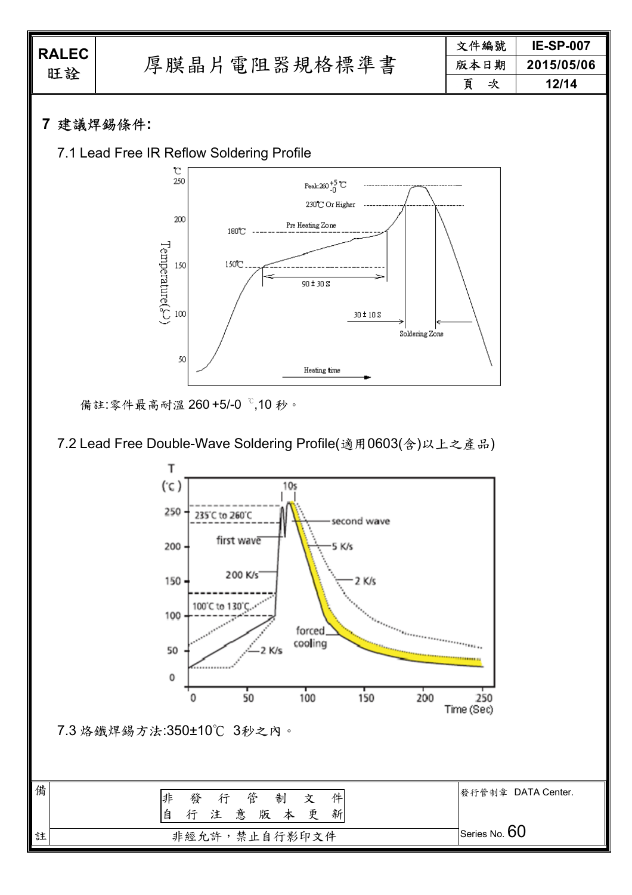| <b>RALEC</b><br>旺詮 |              | 文件編號   | <b>IE-SP-007</b> |
|--------------------|--------------|--------|------------------|
|                    | 厚膜晶片電阻器規格標準書 | 版本日期   | 2015/05/06       |
|                    |              | 百<br>次 | 12/14            |
|                    |              |        |                  |

## **7** 建議焊錫條件**:**





備註:零件最高耐溫 260 +5/-0 ℃,10 秒。

7.2 Lead Free Double-Wave Soldering Profile(適用0603(含)以上之產品)



| 備 | 行 管<br>制<br>非<br>件<br>發<br>文<br>新<br>注意版本<br>更<br>自 | 發行管制章 DATA Center. |
|---|-----------------------------------------------------|--------------------|
| 註 | 非經允許,禁止自行影印文件                                       | Series No. $60$    |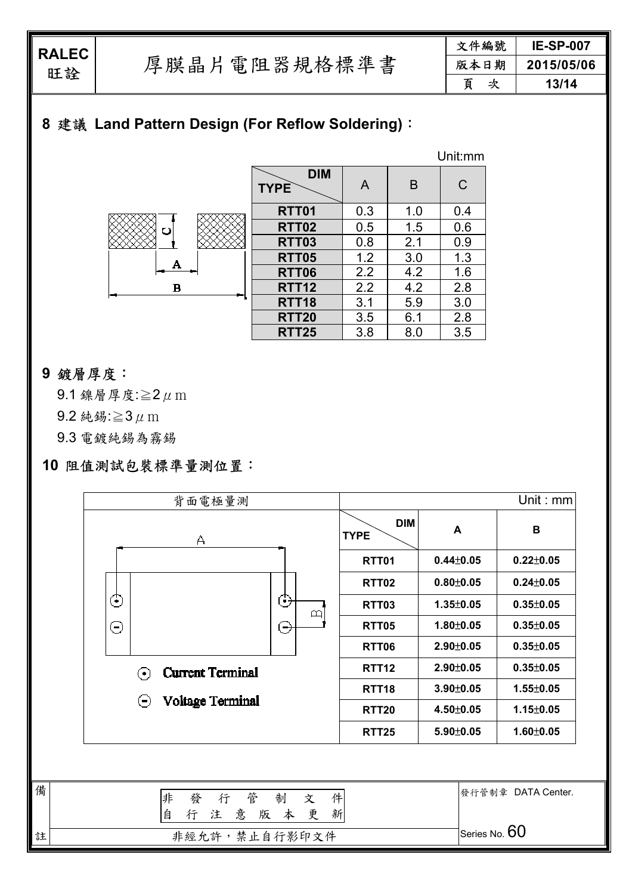| 文件編號 | <b>IE-SP-007</b> |  |
|------|------------------|--|
| 版本日期 | 2015/05/06       |  |
| 頁    | 13/14            |  |

# **8** 建議 **Land Pattern Design (For Reflow Soldering)**:

|          |                           |     |     | Unit:mm |
|----------|---------------------------|-----|-----|---------|
|          | <b>DIM</b><br><b>TYPE</b> | A   | B   | C       |
|          | <b>RTT01</b>              | 0.3 | 1.0 | 0.4     |
| ပ        | <b>RTT02</b>              | 0.5 | 1.5 | 0.6     |
|          | <b>RTT03</b>              | 0.8 | 2.1 | 0.9     |
| А        | <b>RTT05</b>              | 1.2 | 3.0 | 1.3     |
|          | <b>RTT06</b>              | 2.2 | 4.2 | 1.6     |
| $\bf{B}$ | <b>RTT12</b>              | 2.2 | 4.2 | 2.8     |
|          | <b>RTT18</b>              | 3.1 | 5.9 | 3.0     |
|          | <b>RTT20</b>              | 3.5 | 6.1 | 2.8     |
|          | <b>RTT25</b>              | 3.8 | 8.0 | 3.5     |

### **9** 鍍層厚度:

9.1 鎳層厚度: $≥2 \mu$  m

9.2 純錫:≥3 $\mu$  m

9.3 電鍍純錫為霧錫

## **10** 阻值測試包裝標準量測位置:

|   | 背面電極量測                                            |                           |                 | Unit: $mm$         |
|---|---------------------------------------------------|---------------------------|-----------------|--------------------|
|   | А                                                 | <b>DIM</b><br><b>TYPE</b> | A               | B                  |
|   |                                                   | <b>RTT01</b>              | $0.44 \pm 0.05$ | $0.22 \pm 0.05$    |
|   |                                                   | <b>RTT02</b>              | $0.80 + 0.05$   | $0.24 \pm 0.05$    |
|   | ⊙<br>Э<br>$\mathbf{\underline{\upomega}}$         | <b>RTT03</b>              | $1.35 \pm 0.05$ | $0.35 \pm 0.05$    |
|   | ⊝<br>Э                                            | <b>RTT05</b>              | 1.80±0.05       | $0.35 \pm 0.05$    |
|   |                                                   | <b>RTT06</b>              | $2.90 \pm 0.05$ | $0.35 \pm 0.05$    |
|   | <b>Current Terminal</b><br>$(\bullet)$            | <b>RTT12</b>              | 2.90±0.05       | $0.35 \pm 0.05$    |
|   |                                                   | RTT <sub>18</sub>         | $3.90 \pm 0.05$ | $1.55 \pm 0.05$    |
|   | Voltage Terminal<br>$(\textcolor{blue}{\bullet})$ | <b>RTT20</b>              | $4.50 \pm 0.05$ | $1.15 \pm 0.05$    |
|   |                                                   | <b>RTT25</b>              | 5.90±0.05       | $1.60 \pm 0.05$    |
|   |                                                   |                           |                 |                    |
| 備 | 管<br>件<br>非<br>發<br>行<br>制<br>文                   |                           |                 | 發行管制章 DATA Center. |
|   | 自<br>意<br>新<br>版本更<br>行<br>注                      |                           |                 |                    |
| 註 | 非經允許,禁止自行影印文件                                     |                           | Series No. 60   |                    |